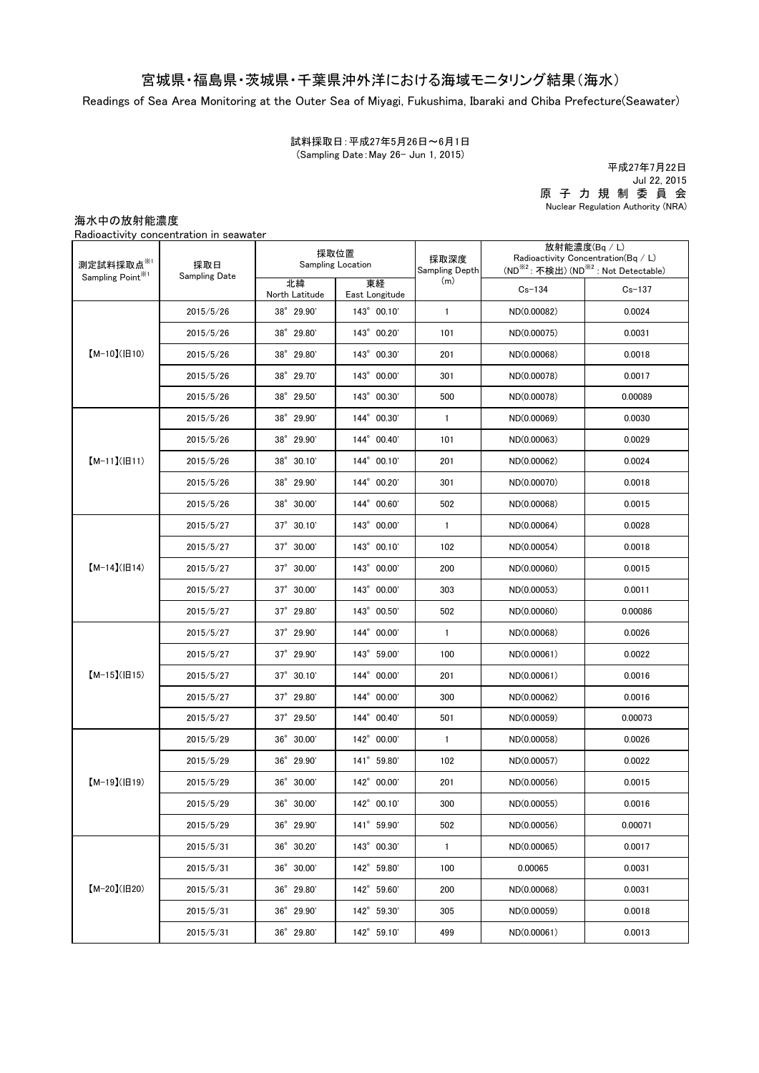## 宮城県・福島県・茨城県・千葉県沖外洋における海域モニタリング結果(海水)

Readings of Sea Area Monitoring at the Outer Sea of Miyagi, Fukushima, Ibaraki and Chiba Prefecture(Seawater)

試料採取日:平成27年5月26日~6月1日 (Sampling Date:May 26- Jun 1, 2015)

原 子 力 規 制 委 員 会 Nuclear Regulation Authority (NRA) 平成27年7月22日 Jul 22, 2015

海水中の放射能濃度

Radioactivity concentration in seawater

| 測定試料採取点※1<br>Sampling Point <sup>※1</sup> | 採取日<br>Sampling Date | 採取位置<br><b>Sampling Location</b> |                      | 採取深度<br>Sampling Depth | 放射能濃度(Bq / L)<br>Radioactivity Concentration( $Bq / L$ )<br>(ND <sup>※2</sup> : 不検出) (ND <sup>※2</sup> : Not Detectable) |            |
|-------------------------------------------|----------------------|----------------------------------|----------------------|------------------------|--------------------------------------------------------------------------------------------------------------------------|------------|
|                                           |                      | 北緯<br>North Latitude             | 東経<br>East Longitude | (m)                    | $Cs - 134$                                                                                                               | $Cs - 137$ |
| $[M-10](H10)$                             | 2015/5/26            | 38° 29.90'                       | 143° 00.10'          | $\mathbf{1}$           | ND(0.00082)                                                                                                              | 0.0024     |
|                                           | 2015/5/26            | 38° 29.80'                       | 143° 00.20'          | 101                    | ND(0.00075)                                                                                                              | 0.0031     |
|                                           | 2015/5/26            | 38° 29.80'                       | 143° 00.30'          | 201                    | ND(0.00068)                                                                                                              | 0.0018     |
|                                           | 2015/5/26            | 38° 29.70'                       | 143° 00.00'          | 301                    | ND(0.00078)                                                                                                              | 0.0017     |
|                                           | 2015/5/26            | 38° 29.50'                       | 143° 00.30'          | 500                    | ND(0.00078)                                                                                                              | 0.00089    |
| $[M-11](H11)$                             | 2015/5/26            | 38° 29.90'                       | 144° 00.30'          | $\mathbf{1}$           | ND(0.00069)                                                                                                              | 0.0030     |
|                                           | 2015/5/26            | 38° 29.90'                       | 144° 00.40'          | 101                    | ND(0.00063)                                                                                                              | 0.0029     |
|                                           | 2015/5/26            | 38° 30.10'                       | 144° 00.10'          | 201                    | ND(0.00062)                                                                                                              | 0.0024     |
|                                           | 2015/5/26            | 38° 29.90'                       | 144° 00.20'          | 301                    | ND(0.00070)                                                                                                              | 0.0018     |
|                                           | 2015/5/26            | 38° 30.00'                       | 144° 00.60'          | 502                    | ND(0.00068)                                                                                                              | 0.0015     |
|                                           | 2015/5/27            | $37^{\circ}$ 30.10'              | 143° 00.00'          | $\mathbf{1}$           | ND(0.00064)                                                                                                              | 0.0028     |
| $[M-14]( H14)$                            | 2015/5/27            | 37° 30.00'                       | 143° 00.10'          | 102                    | ND(0.00054)                                                                                                              | 0.0018     |
|                                           | 2015/5/27            | $37^{\circ}$ 30.00               | 143° 00.00'          | 200                    | ND(0.00060)                                                                                                              | 0.0015     |
|                                           | 2015/5/27            | 37° 30.00'                       | 143° 00.00'          | 303                    | ND(0.00053)                                                                                                              | 0.0011     |
|                                           | 2015/5/27            | $37^{\circ}$ 29.80               | 143° 00.50'          | 502                    | ND(0.00060)                                                                                                              | 0.00086    |
| $[M-15](H15)$                             | 2015/5/27            | $37^{\circ}$ 29.90               | 144° 00.00'          | $\mathbf{1}$           | ND(0.00068)                                                                                                              | 0.0026     |
|                                           | 2015/5/27            | 37° 29.90'                       | 143° 59.00'          | 100                    | ND(0.00061)                                                                                                              | 0.0022     |
|                                           | 2015/5/27            | $37^{\circ}$ 30.10'              | 144° 00.00'          | 201                    | ND(0.00061)                                                                                                              | 0.0016     |
|                                           | 2015/5/27            | 37° 29.80'                       | 144° 00.00'          | 300                    | ND(0.00062)                                                                                                              | 0.0016     |
|                                           | 2015/5/27            | $37^{\circ}$ 29.50               | 144° 00.40'          | 501                    | ND(0.00059)                                                                                                              | 0.00073    |
| $[M-19](H19)$                             | 2015/5/29            | 36° 30.00'                       | 142° 00.00'          | $\mathbf{1}$           | ND(0.00058)                                                                                                              | 0.0026     |
|                                           | 2015/5/29            | 36° 29.90'                       | 141° 59.80'          | 102                    | ND(0.00057)                                                                                                              | 0.0022     |
|                                           | 2015/5/29            | 36° 30.00'                       | 142° 00.00'          | 201                    | ND(0.00056)                                                                                                              | 0.0015     |
|                                           | 2015/5/29            | 36° 30.00'                       | 142° 00.10'          | 300                    | ND(0.00055)                                                                                                              | 0.0016     |
|                                           | 2015/5/29            | 36° 29.90'                       | 141° 59.90'          | 502                    | ND(0.00056)                                                                                                              | 0.00071    |
| $[M-20](H20)$                             | 2015/5/31            | 36° 30.20'                       | 143° 00.30'          | $\mathbf{1}$           | ND(0.00065)                                                                                                              | 0.0017     |
|                                           | 2015/5/31            | 36° 30.00'                       | 142° 59.80'          | 100                    | 0.00065                                                                                                                  | 0.0031     |
|                                           | 2015/5/31            | 36° 29.80'                       | 142° 59.60'          | 200                    | ND(0.00068)                                                                                                              | 0.0031     |
|                                           | 2015/5/31            | 36° 29.90'                       | 142° 59.30'          | 305                    | ND(0.00059)                                                                                                              | 0.0018     |
|                                           | 2015/5/31            | 36° 29.80'                       | 142° 59.10'          | 499                    | ND(0.00061)                                                                                                              | 0.0013     |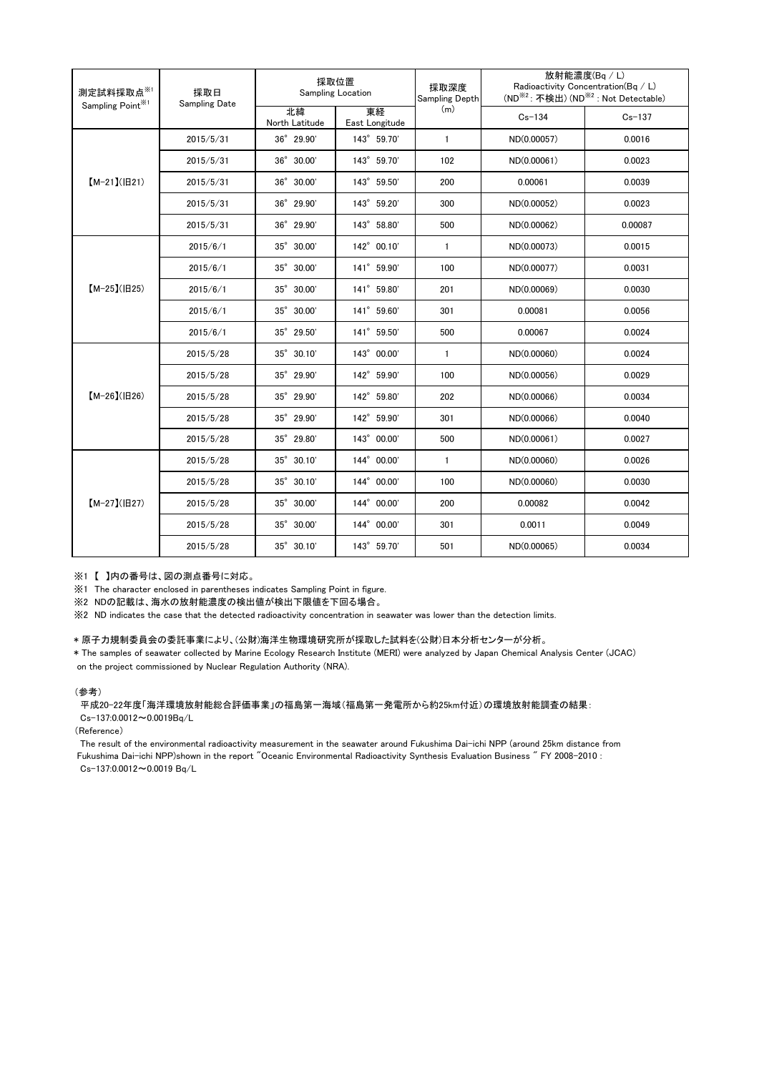| 測定試料採取点※1<br>Sampling Point <sup>※1</sup> | 採取日<br><b>Sampling Date</b> | 採取位置<br>Sampling Location |                      | 採取深度<br>Sampling Depth | 放射能濃度(Bq/L)<br>Radioactivity Concentration(Bq / L)<br>(ND <sup>※2</sup> : 不検出) (ND <sup>※2</sup> : Not Detectable) |            |
|-------------------------------------------|-----------------------------|---------------------------|----------------------|------------------------|--------------------------------------------------------------------------------------------------------------------|------------|
|                                           |                             | 北緯<br>North Latitude      | 東経<br>East Longitude | (m)                    | $Cs - 134$                                                                                                         | $Cs - 137$ |
| $[M-21](H21)$                             | 2015/5/31                   | $36^{\circ}$ 29.90'       | 143° 59.70'          | $\mathbf{1}$           | ND(0.00057)                                                                                                        | 0.0016     |
|                                           | 2015/5/31                   | 36° 30.00'                | 143° 59.70'          | 102                    | ND(0.00061)                                                                                                        | 0.0023     |
|                                           | 2015/5/31                   | 36° 30.00'                | 143° 59.50'          | 200                    | 0.00061                                                                                                            | 0.0039     |
|                                           | 2015/5/31                   | 36° 29.90'                | 143° 59.20'          | 300                    | ND(0.00052)                                                                                                        | 0.0023     |
|                                           | 2015/5/31                   | 36° 29.90'                | 143° 58.80'          | 500                    | ND(0.00062)                                                                                                        | 0.00087    |
| $[M-25]( E25)$                            | 2015/6/1                    | 35° 30.00'                | 142° 00.10'          | $\mathbf{1}$           | ND(0.00073)                                                                                                        | 0.0015     |
|                                           | 2015/6/1                    | 35° 30.00'                | 141° 59.90'          | 100                    | ND(0.00077)                                                                                                        | 0.0031     |
|                                           | 2015/6/1                    | 35° 30.00'                | 141° 59.80'          | 201                    | ND(0.00069)                                                                                                        | 0.0030     |
|                                           | 2015/6/1                    | 35° 30.00'                | 141° 59.60'          | 301                    | 0.00081                                                                                                            | 0.0056     |
|                                           | 2015/6/1                    | 35° 29.50'                | 141° 59.50'          | 500                    | 0.00067                                                                                                            | 0.0024     |
| $[M-26](H26)$                             | 2015/5/28                   | 35° 30.10'                | 143° 00.00'          | $\mathbf{1}$           | ND(0.00060)                                                                                                        | 0.0024     |
|                                           | 2015/5/28                   | 35° 29.90'                | 142° 59.90'          | 100                    | ND(0.00056)                                                                                                        | 0.0029     |
|                                           | 2015/5/28                   | 35° 29.90'                | 142° 59.80'          | 202                    | ND(0.00066)                                                                                                        | 0.0034     |
|                                           | 2015/5/28                   | 35° 29.90'                | 142° 59.90'          | 301                    | ND(0.00066)                                                                                                        | 0.0040     |
|                                           | 2015/5/28                   | 35° 29.80'                | 143° 00.00'          | 500                    | ND(0.00061)                                                                                                        | 0.0027     |
| $[M-27](B27)$                             | 2015/5/28                   | $35^{\circ}$ 30.10'       | 144° 00.00'          | $\mathbf{1}$           | ND(0.00060)                                                                                                        | 0.0026     |
|                                           | 2015/5/28                   | $35^{\circ}$ 30.10'       | 144° 00.00'          | 100                    | ND(0.00060)                                                                                                        | 0.0030     |
|                                           | 2015/5/28                   | 35° 30.00'                | 144° 00.00'          | 200                    | 0.00082                                                                                                            | 0.0042     |
|                                           | 2015/5/28                   | 35° 30.00'                | 144° 00.00'          | 301                    | 0.0011                                                                                                             | 0.0049     |
|                                           | 2015/5/28                   | $35^{\circ}$ 30.10'       | 143° 59.70'          | 501                    | ND(0.00065)                                                                                                        | 0.0034     |

※1 【 】内の番号は、図の測点番号に対応。

※1 The character enclosed in parentheses indicates Sampling Point in figure.

...<br>※2 NDの記載は、海水の放射能濃度の検出値が検出下限値を下回る場合。

※2 ND indicates the case that the detected radioactivity concentration in seawater was lower than the detection limits.

## \* 原子力規制委員会の委託事業により、(公財)海洋生物環境研究所が採取した試料を(公財)日本分析センターが分析。

on the project commissioned by Nuclear Regulation Authority (NRA). \* The samples of seawater collected by Marine Ecology Research Institute (MERI) were analyzed by Japan Chemical Analysis Center (JCAC)

## (参考)

平成20-22年度「海洋環境放射能総合評価事業」の福島第一海域(福島第一発電所から約25km付近)の環境放射能調査の結果: Cs-137:0.0012~0.0019Bq/L

(Reference)

The result of the environmental radioactivity measurement in the seawater around Fukushima Dai-ichi NPP (around 25km distance from Fukushima Dai-ichi NPP)shown in the report "Oceanic Environmental Radioactivity Synthesis Evaluation Business " FY 2008-2010 : Cs-137:0.0012~0.0019 Bq/L